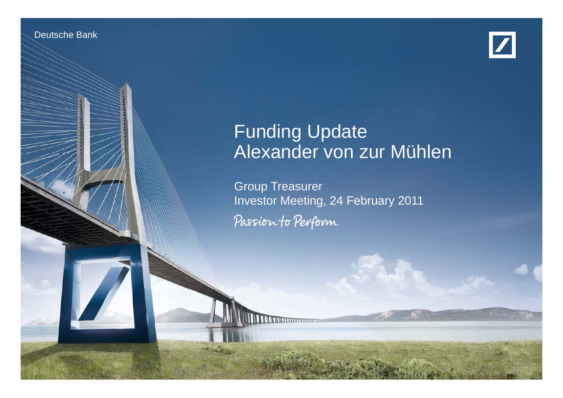Deutsche Banken Banken Treasury of



# Funding Update Alexander von zur Mühlen

Financial transparency.

Group Treasurer Investor Meeting, 24 February 2011 Passion to Perform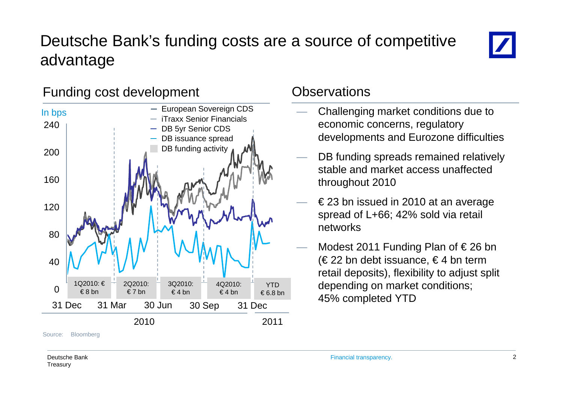# Deutsche Bank's funding costs are a source of competitive advantage



# Funding cost development Controller Conservations



Source:Bloomberg

- Challenging market conditions due to economic concerns, regulatory developments and Eurozone difficulties
- $\longrightarrow$  DB funding spreads remained relatively stable and market access unaffected throughout 2010
- $−$   $\epsilon$  23 bn issued in 2010 at an average spread of L+66; 42% sold via retail networks
- Modest 2011 Funding Plan of  $\in$  26 bn (€22 bn debt issuance, €4 bn term retail deposits), flexibility to adjust split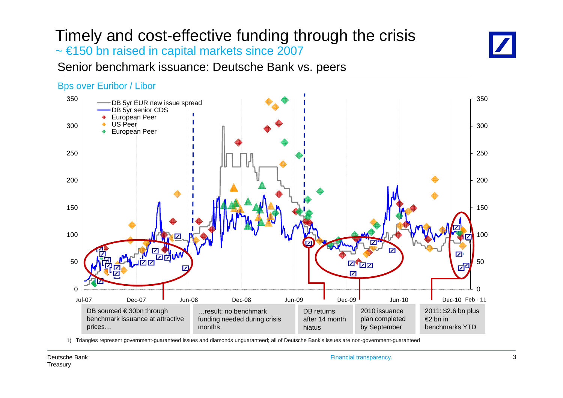# Timely and cost-effective funding through the crisis ~ €150 bn raised in capital markets since 2007



# Senior benchmark issuance: Deutsche Bank vs. peers

### Bps over Euribor / Libor



1) Triangles represent government-guaranteed issues and diamonds unguaranteed; all of Deutsche Bank's issues are non-government-guaranteed

Financial transparency. 3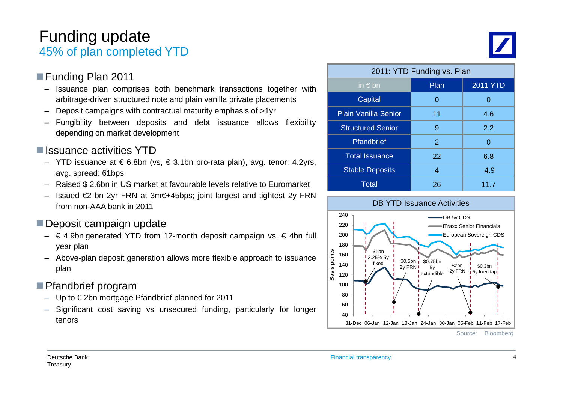# Funding update 45% of plan completed YTD

### Funding Plan 2011

- – Issuance plan comprises both benchmark transactions together with arbitrage-driven structured note and plain vanilla private placements
- Deposit campaigns with contractual maturity emphasis of >1yr <mark>\_\_\_\_\_\_\_\_\_\_\_\_\_\_\_</mark> –
- Fungibility between deposits and debt issuance allows flexibility depending on market development

# $\blacksquare$  Issuance activities YTD

- Total– YTD issuance at € 6.8bn (vs, € 3.1bn pro-rata plan), avg. tenor: 4.2yrs,  $\begin{array}{|l|} \hline \text{Total} \end{array}$ avg. spread: 61bps
- Raised \$ 2.6bn in US market at favourable levels relative to Euromarket
- –- Issued €2 bn 2yr FRN at 3m€+45bps; joint largest and tightest 2y FRN from non-AAA bank in 2011

# Deposit campaign update

- € 4.9bn generated YTD from 12-month deposit campaign vs. € 4bn full vear plan
- Pour plan deposit generation allows more flexible approach to issuance<br>
plan the stead of the solution is supposed to the solution of the solution of the solution of the solution of the solution of the solution of the solu

# ■ Pfandbrief program

- Up to € 2bn mortgage Pfandbrief planned for 2011
- Significant cost saving vs unsecured funding, particularly for longer tenors

| 2011: YTD Funding vs. Plan  |      |                 |
|-----------------------------|------|-----------------|
| in $\notin$ bn              | Plan | <b>2011 YTD</b> |
| <b>Capital</b>              | O    |                 |
| <b>Plain Vanilla Senior</b> | 11   | 4.6             |
| <b>Structured Senior</b>    | 9    | 2.2             |
| Pfandbrief                  | 2    | 0               |
| <b>Total Issuance</b>       | 22   | 6.8             |
| <b>Stable Deposits</b>      | 4    | 4.9             |
| Total                       | 26   | 11.7            |



Source: Bloomberg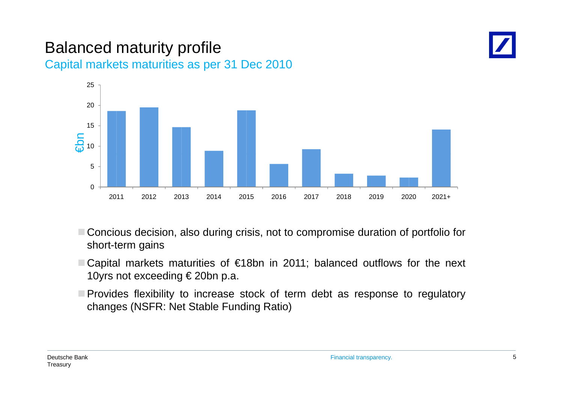# Balanced maturity profile Capital markets maturities as per 31 Dec 2010





- Concious decision, also during crisis, not to compromise duration of portfolio for short-term gains
- Capital markets maturities of €18bn in 2011; balanced outflows for the next 10yrs not exceeding € 20bn p.a.
- $\blacksquare$  Provides flexibility to increase stock of term debt as response to regulatory changes (NSFR: Net Stable Funding Ratio)